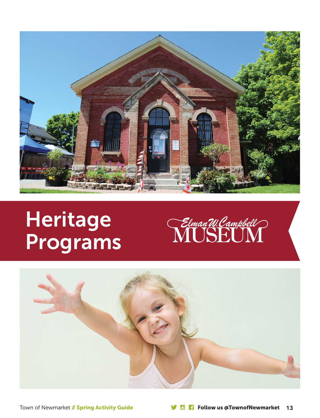

# **Heritage** Programs